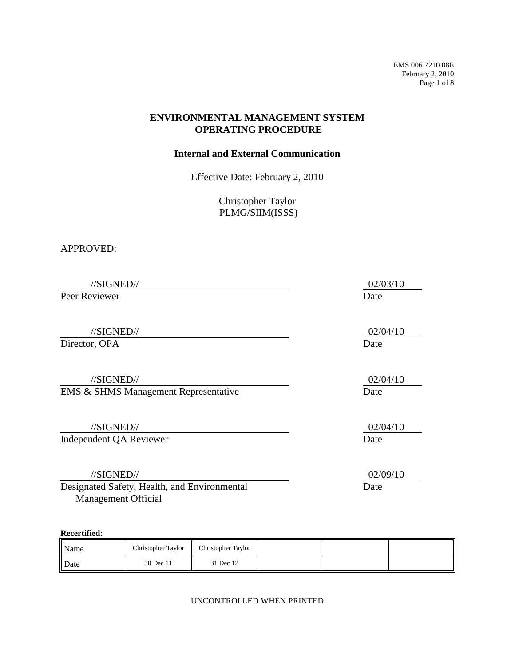EMS 006.7210.08E February 2, 2010 Page 1 of 8

### **ENVIRONMENTAL MANAGEMENT SYSTEM OPERATING PROCEDURE**

#### **Internal and External Communication**

Effective Date: February 2, 2010

Christopher Taylor PLMG/SIIM(ISSS)

#### APPROVED:

//SIGNED// 02/03/10 Peer Reviewer Date //SIGNED// 02/04/10 Director, OPA Date //SIGNED// 02/04/10 EMS & SHMS Management Representative Date //SIGNED// 02/04/10 Independent QA Reviewer Date //SIGNED// 02/09/10 Designated Safety, Health, and Environmental Date

**Recertified:** 

Management Official

| Name | Christopher Taylor | Christopher Taylor |  |  |
|------|--------------------|--------------------|--|--|
| Date | 30 Dec 11          | 31 Dec 12          |  |  |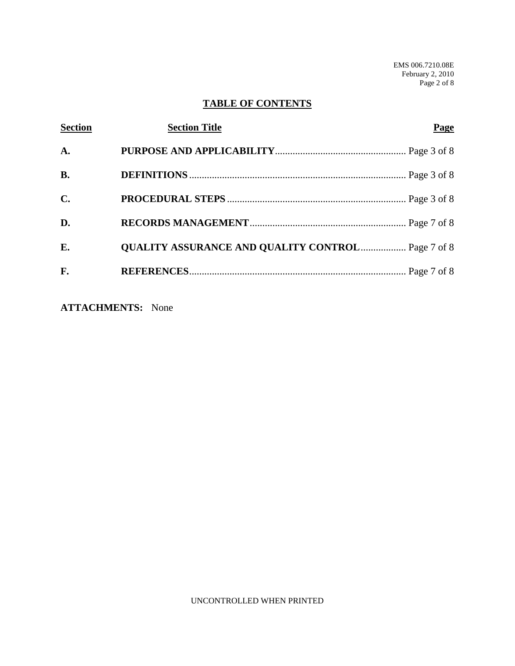EMS 006.7210.08E February 2, 2010 Page 2 of 8

# **TABLE OF CONTENTS**

| <b>Section</b> | <b>Section Title</b>                                     | Page |
|----------------|----------------------------------------------------------|------|
| A.             |                                                          |      |
| <b>B.</b>      |                                                          |      |
| $\mathbf{C}$ . |                                                          |      |
| D.             |                                                          |      |
| E.             | <b>QUALITY ASSURANCE AND QUALITY CONTROL Page 7 of 8</b> |      |
| F.             |                                                          |      |

**ATTACHMENTS:** None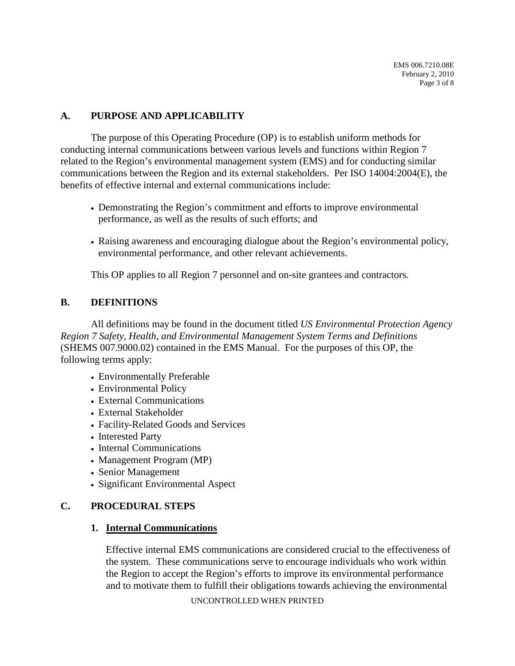## **A. PURPOSE AND APPLICABILITY**

 The purpose of this Operating Procedure (OP) is to establish uniform methods for communications between the Region and its external stakeholders. Per ISO 14004:2004(E), the conducting internal communications between various levels and functions within Region 7 related to the Region's environmental management system (EMS) and for conducting similar benefits of effective internal and external communications include:

- performance, as well as the results of such efforts; and • Demonstrating the Region's commitment and efforts to improve environmental
- Raising awareness and encouraging dialogue about the Region's environmental policy, environmental performance, and other relevant achievements.

This OP applies to all Region 7 personnel and on-site grantees and contractors.

### **B. DEFINITIONS**

All definitions may be found in the document titled *US Environmental Protection Agency Region 7 Safety, Health, and Environmental Management System Terms and Definitions*  (SHEMS [007.9000.02](https://007.9000.02)) contained in the EMS Manual. For the purposes of this OP, the following terms apply:

- Environmentally Preferable
- Environmental Policy
- External Communications
- External Stakeholder
- Facility-Related Goods and Services
- Interested Party
- Internal Communications
- Management Program (MP)
- Senior Management
- Significant Environmental Aspect

## **C. PROCEDURAL STEPS**

### **1. Internal Communications**

Effective internal EMS communications are considered crucial to the effectiveness of the system. These communications serve to encourage individuals who work within the Region to accept the Region's efforts to improve its environmental performance and to motivate them to fulfill their obligations towards achieving the environmental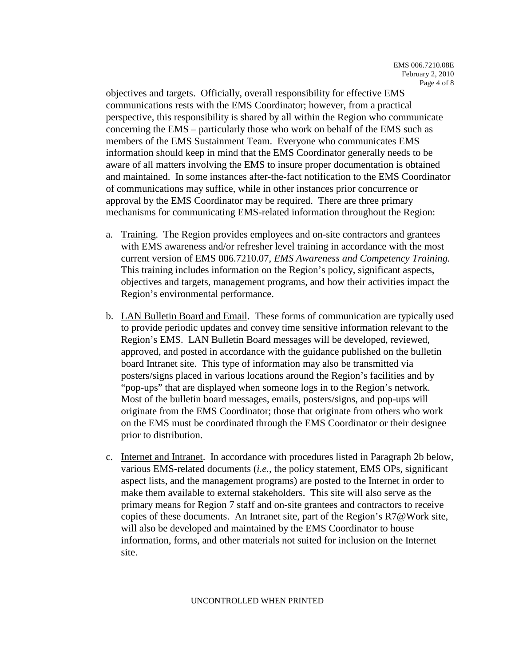and maintained. In some instances after-the-fact notification to the EMS Coordinator objectives and targets. Officially, overall responsibility for effective EMS communications rests with the EMS Coordinator; however, from a practical perspective, this responsibility is shared by all within the Region who communicate concerning the EMS – particularly those who work on behalf of the EMS such as members of the EMS Sustainment Team. Everyone who communicates EMS information should keep in mind that the EMS Coordinator generally needs to be aware of all matters involving the EMS to insure proper documentation is obtained of communications may suffice, while in other instances prior concurrence or approval by the EMS Coordinator may be required. There are three primary mechanisms for communicating EMS-related information throughout the Region:

- a. Training. The Region provides employees and on-site contractors and grantees with EMS awareness and/or refresher level training in accordance with the most current version of EMS [006.7210.07,](https://006.7210.07) *EMS Awareness and Competency Training.*  This training includes information on the Region's policy, significant aspects, objectives and targets, management programs, and how their activities impact the Region's environmental performance.
- b. LAN Bulletin Board and Email. These forms of communication are typically used to provide periodic updates and convey time sensitive information relevant to the Region's EMS. LAN Bulletin Board messages will be developed, reviewed, approved, and posted in accordance with the guidance published on the bulletin board Intranet site. This type of information may also be transmitted via posters/signs placed in various locations around the Region's facilities and by "pop-ups" that are displayed when someone logs in to the Region's network. Most of the bulletin board messages, emails, posters/signs, and pop-ups will originate from the EMS Coordinator; those that originate from others who work on the EMS must be coordinated through the EMS Coordinator or their designee prior to distribution.
- c. Internet and Intranet. In accordance with procedures listed in Paragraph 2b below, various EMS-related documents (*i.e.,* the policy statement, EMS OPs, significant aspect lists, and the management programs) are posted to the Internet in order to make them available to external stakeholders. This site will also serve as the primary means for Region 7 staff and on-site grantees and contractors to receive copies of these documents. An Intranet site, part of the Region's R7@Work site, will also be developed and maintained by the EMS Coordinator to house information, forms, and other materials not suited for inclusion on the Internet site.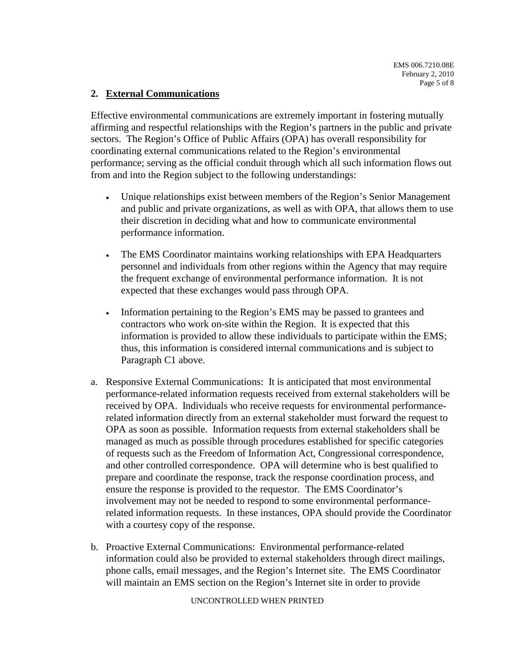### **2. External Communications**

 Effective environmental communications are extremely important in fostering mutually affirming and respectful relationships with the Region's partners in the public and private sectors. The Region's Office of Public Affairs (OPA) has overall responsibility for coordinating external communications related to the Region's environmental performance; serving as the official conduit through which all such information flows out from and into the Region subject to the following understandings:

- Unique relationships exist between members of the Region's Senior Management and public and private organizations, as well as with OPA, that allows them to use their discretion in deciding what and how to communicate environmental performance information.
- The EMS Coordinator maintains working relationships with EPA Headquarters personnel and individuals from other regions within the Agency that may require the frequent exchange of environmental performance information. It is not expected that these exchanges would pass through OPA.
- Information pertaining to the Region's EMS may be passed to grantees and contractors who work on-site within the Region. It is expected that this information is provided to allow these individuals to participate within the EMS; thus, this information is considered internal communications and is subject to Paragraph C1 above.
- a. Responsive External Communications: It is anticipated that most environmental performance-related information requests received from external stakeholders will be received by OPA. Individuals who receive requests for environmental performancerelated information directly from an external stakeholder must forward the request to OPA as soon as possible. Information requests from external stakeholders shall be managed as much as possible through procedures established for specific categories of requests such as the Freedom of Information Act, Congressional correspondence, and other controlled correspondence. OPA will determine who is best qualified to prepare and coordinate the response, track the response coordination process, and ensure the response is provided to the requestor. The EMS Coordinator's involvement may not be needed to respond to some environmental performancerelated information requests. In these instances, OPA should provide the Coordinator with a courtesy copy of the response.
- phone calls, email messages, and the Region's Internet site. The EMS Coordinator b. Proactive External Communications: Environmental performance-related information could also be provided to external stakeholders through direct mailings, will maintain an EMS section on the Region's Internet site in order to provide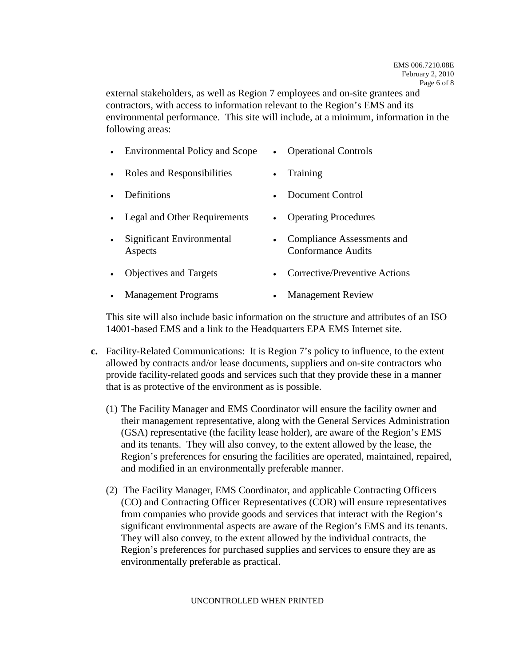external stakeholders, as well as Region 7 employees and on-site grantees and contractors, with access to information relevant to the Region's EMS and its environmental performance. This site will include, at a minimum, information in the following areas:

|  | <b>Environmental Policy and Scope</b> |  | <b>Operational Controls</b> |
|--|---------------------------------------|--|-----------------------------|
|--|---------------------------------------|--|-----------------------------|

- Roles and Responsibilities Training
- Definitions Document Control
- Legal and Other Requirements Operating Procedures
- Significant Environmental Compliance Assessments and Aspects Conformance Audits
- Objectives and Targets Corrective/Preventive Actions
- Management Programs Management Review

This site will also include basic information on the structure and attributes of an ISO 14001-based EMS and a link to the Headquarters EPA EMS Internet site.

- **c.** Facility-Related Communications: It is Region 7's policy to influence, to the extent allowed by contracts and/or lease documents, suppliers and on-site contractors who provide facility-related goods and services such that they provide these in a manner that is as protective of the environment as is possible.
	- (1) The Facility Manager and EMS Coordinator will ensure the facility owner and their management representative, along with the General Services Administration (GSA) representative (the facility lease holder), are aware of the Region's EMS and its tenants. They will also convey, to the extent allowed by the lease, the Region's preferences for ensuring the facilities are operated, maintained, repaired, and modified in an environmentally preferable manner.
	- (2) The Facility Manager, EMS Coordinator, and applicable Contracting Officers (CO) and Contracting Officer Representatives (COR) will ensure representatives from companies who provide goods and services that interact with the Region's significant environmental aspects are aware of the Region's EMS and its tenants. They will also convey, to the extent allowed by the individual contracts, the Region's preferences for purchased supplies and services to ensure they are as environmentally preferable as practical.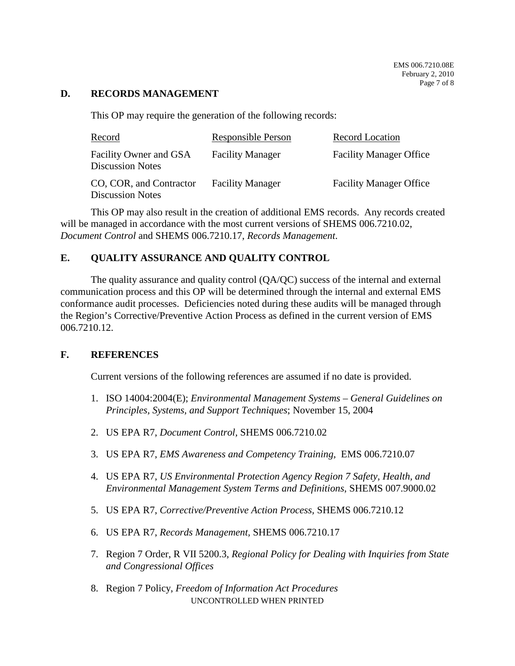#### **D. RECORDS MANAGEMENT**

This OP may require the generation of the following records:

| Record                                             | <b>Responsible Person</b> | Record Location                |
|----------------------------------------------------|---------------------------|--------------------------------|
| Facility Owner and GSA<br><b>Discussion Notes</b>  | <b>Facility Manager</b>   | <b>Facility Manager Office</b> |
| CO, COR, and Contractor<br><b>Discussion Notes</b> | <b>Facility Manager</b>   | <b>Facility Manager Office</b> |

This OP may also result in the creation of additional EMS records. Any records created will be managed in accordance with the most current versions of SHEMS [006.7210.02](https://006.7210.02), *Document Control* and SHEMS [006.7210.17](https://006.7210.17), *Records Management*.

## **E. QUALITY ASSURANCE AND QUALITY CONTROL**

 the Region's Corrective/Preventive Action Process as defined in the current version of EMS The quality assurance and quality control  $(QA/QC)$  success of the internal and external communication process and this OP will be determined through the internal and external EMS conformance audit processes. Deficiencies noted during these audits will be managed through [006.7210.12.](https://006.7210.12)

### **F. REFERENCES**

Current versions of the following references are assumed if no date is provided.

- 1. ISO 14004:2004(E); *Environmental Management Systems General Guidelines on Principles, Systems, and Support Techniques*; November 15, 2004
- 2. US EPA R7, *Document Control,* SHEMS [006.7210.02](https://006.7210.02)
- 3. US EPA R7, *EMS Awareness and Competency Training,* EMS [006.7210.07](https://006.7210.07)
- 4. US EPA R7, *US Environmental Protection Agency Region 7 Safety, Health, and Environmental Management System Terms and Definitions*, SHEMS [007.9000.02](https://007.9000.02)
- 5. US EPA R7, *Corrective/Preventive Action Process,* SHEMS [006.7210.12](https://006.7210.12)
- 6. US EPA R7, *Records Management,* SHEMS [006.7210.17](https://006.7210.17)
- 7. Region 7 Order, R VII 5200.3, *Regional Policy for Dealing with Inquiries from State and Congressional Offices*
- 8. Region 7 Policy, *Freedom of Information Act Procedures*  UNCONTROLLED WHEN PRINTED